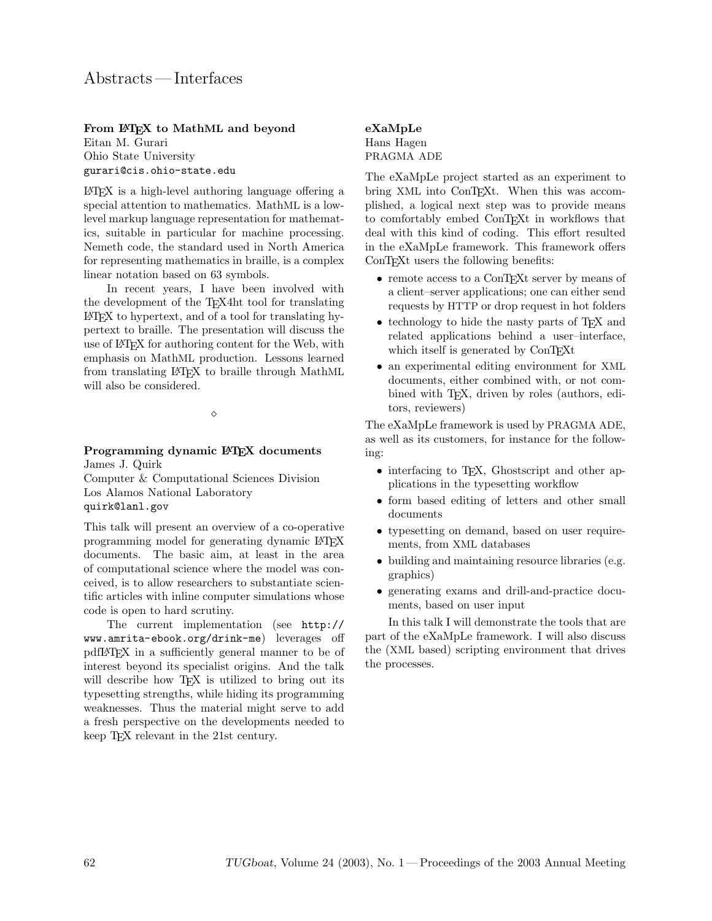### From LATEX to MathML and beyond

Eitan M. Gurari Ohio State University gurari@cis.ohio-state.edu

LATEX is a high-level authoring language offering a special attention to mathematics. MathML is a lowlevel markup language representation for mathematics, suitable in particular for machine processing. Nemeth code, the standard used in North America for representing mathematics in braille, is a complex linear notation based on 63 symbols.

In recent years, I have been involved with the development of the TEX4ht tool for translating LATEX to hypertext, and of a tool for translating hypertext to braille. The presentation will discuss the use of LATEX for authoring content for the Web, with emphasis on MathML production. Lessons learned from translating LATEX to braille through MathML will also be considered.

 $\Diamond$ 

#### Programming dynamic LAT<sub>E</sub>X documents James J. Quirk

Computer & Computational Sciences Division Los Alamos National Laboratory quirk@lanl.gov

This talk will present an overview of a co-operative programming model for generating dynamic LATEX documents. The basic aim, at least in the area of computational science where the model was conceived, is to allow researchers to substantiate scientific articles with inline computer simulations whose code is open to hard scrutiny.

The current implementation (see http:// www.amrita-ebook.org/drink-me) leverages off pdfLATEX in a sufficiently general manner to be of interest beyond its specialist origins. And the talk will describe how T<sub>E</sub>X is utilized to bring out its typesetting strengths, while hiding its programming weaknesses. Thus the material might serve to add a fresh perspective on the developments needed to keep TEX relevant in the 21st century.

# eXaMpLe

Hans Hagen PRAGMA ADE

The eXaMpLe project started as an experiment to bring XML into ConTEXt. When this was accomplished, a logical next step was to provide means to comfortably embed ConTEXt in workflows that deal with this kind of coding. This effort resulted in the eXaMpLe framework. This framework offers ConT<sub>EX</sub>t users the following benefits:

- remote access to a ConTEXt server by means of a client–server applications; one can either send requests by HTTP or drop request in hot folders
- technology to hide the nasty parts of T<sub>EX</sub> and related applications behind a user–interface, which itself is generated by ConTEXt
- an experimental editing environment for XML documents, either combined with, or not combined with T<sub>E</sub>X, driven by roles (authors, editors, reviewers)

The eXaMpLe framework is used by PRAGMA ADE, as well as its customers, for instance for the following:

- interfacing to T<sub>E</sub>X, Ghostscript and other applications in the typesetting workflow
- form based editing of letters and other small documents
- typesetting on demand, based on user requirements, from XML databases
- building and maintaining resource libraries (e.g. graphics)
- generating exams and drill-and-practice documents, based on user input

In this talk I will demonstrate the tools that are part of the eXaMpLe framework. I will also discuss the (XML based) scripting environment that drives the processes.